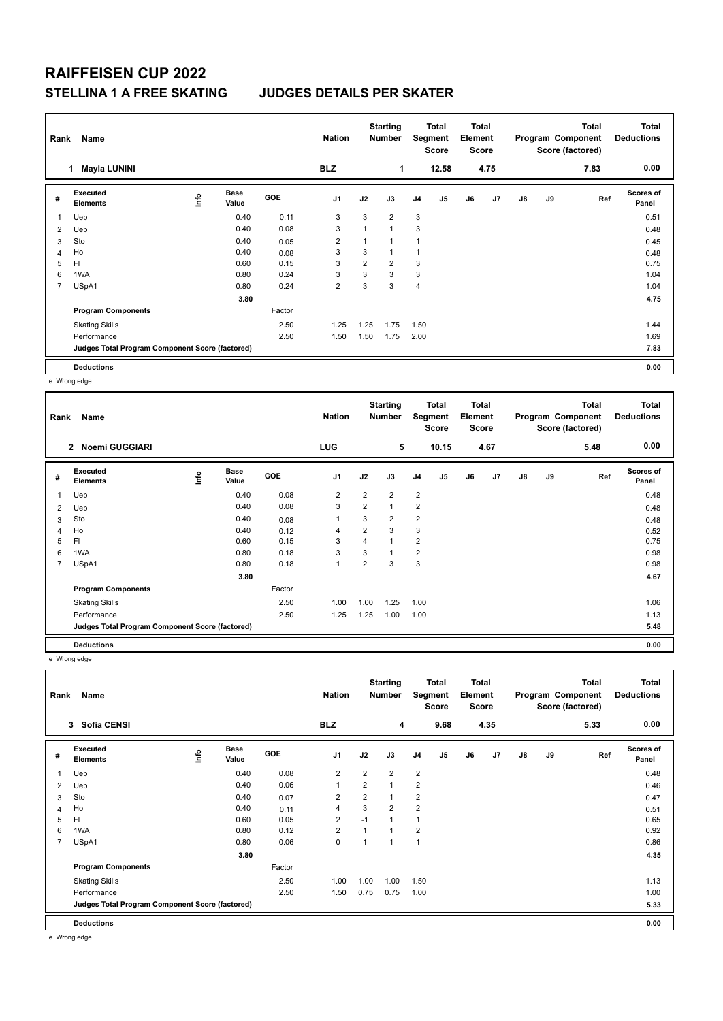## **RAIFFEISEN CUP 2022 STELLINA 1 A FREE SKATING JUDGES DETAILS PER SKATER**

|   | Name<br>Rank                                    |      |                      |        | <b>Nation</b>  |                |                | Total<br>Segment<br><b>Score</b> |       | <b>Total</b><br>Element<br><b>Score</b> |                | Program Component |    | <b>Total</b><br>Score (factored) | <b>Total</b><br><b>Deductions</b> |
|---|-------------------------------------------------|------|----------------------|--------|----------------|----------------|----------------|----------------------------------|-------|-----------------------------------------|----------------|-------------------|----|----------------------------------|-----------------------------------|
|   | <b>Mayla LUNINI</b><br>1                        |      |                      |        | <b>BLZ</b>     |                | 1              |                                  | 12.58 |                                         | 4.75           |                   |    | 7.83                             | 0.00                              |
| # | Executed<br><b>Elements</b>                     | lnfo | <b>Base</b><br>Value | GOE    | J <sub>1</sub> | J2             | J3             | J <sub>4</sub>                   | J5    | J6                                      | J <sub>7</sub> | $\mathsf{J}8$     | J9 | Ref                              | <b>Scores of</b><br>Panel         |
|   | Ueb                                             |      | 0.40                 | 0.11   | 3              | 3              | $\overline{2}$ | 3                                |       |                                         |                |                   |    |                                  | 0.51                              |
| 2 | Ueb                                             |      | 0.40                 | 0.08   | 3              |                | $\mathbf{1}$   | 3                                |       |                                         |                |                   |    |                                  | 0.48                              |
| 3 | Sto                                             |      | 0.40                 | 0.05   | $\overline{2}$ |                | 1              | 1                                |       |                                         |                |                   |    |                                  | 0.45                              |
| 4 | Ho                                              |      | 0.40                 | 0.08   | 3              | 3              | 1              | 1                                |       |                                         |                |                   |    |                                  | 0.48                              |
| 5 | FI                                              |      | 0.60                 | 0.15   | 3              | $\overline{2}$ | $\overline{2}$ | 3                                |       |                                         |                |                   |    |                                  | 0.75                              |
| 6 | 1WA                                             |      | 0.80                 | 0.24   | 3              | 3              | 3              | 3                                |       |                                         |                |                   |    |                                  | 1.04                              |
| 7 | USpA1                                           |      | 0.80                 | 0.24   | $\overline{2}$ | 3              | 3              | $\overline{4}$                   |       |                                         |                |                   |    |                                  | 1.04                              |
|   |                                                 |      | 3.80                 |        |                |                |                |                                  |       |                                         |                |                   |    |                                  | 4.75                              |
|   | <b>Program Components</b>                       |      |                      | Factor |                |                |                |                                  |       |                                         |                |                   |    |                                  |                                   |
|   | <b>Skating Skills</b>                           |      |                      | 2.50   | 1.25           | 1.25           | 1.75           | 1.50                             |       |                                         |                |                   |    |                                  | 1.44                              |
|   | Performance                                     |      |                      | 2.50   | 1.50           | 1.50           | 1.75           | 2.00                             |       |                                         |                |                   |    |                                  | 1.69                              |
|   | Judges Total Program Component Score (factored) |      |                      |        |                |                |                |                                  |       |                                         |                |                   |    |                                  | 7.83                              |
|   | <b>Deductions</b>                               |      |                      |        |                |                |                |                                  |       |                                         |                |                   |    |                                  | 0.00                              |

e Wrong edge

| Rank | Name                                            |    |                      |            | <b>Nation</b>  |                | <b>Starting</b><br>Number |                | <b>Total</b><br>Segment<br><b>Score</b> | <b>Total</b><br>Element<br><b>Score</b> |                |    |    | <b>Total</b><br>Program Component<br>Score (factored) | <b>Total</b><br><b>Deductions</b> |
|------|-------------------------------------------------|----|----------------------|------------|----------------|----------------|---------------------------|----------------|-----------------------------------------|-----------------------------------------|----------------|----|----|-------------------------------------------------------|-----------------------------------|
|      | <b>Noemi GUGGIARI</b><br>$\overline{2}$         |    |                      |            | <b>LUG</b>     |                | 5                         |                | 10.15                                   |                                         | 4.67           |    |    | 5.48                                                  | 0.00                              |
| #    | <b>Executed</b><br><b>Elements</b>              | ١m | <b>Base</b><br>Value | <b>GOE</b> | J1             | J2             | J3                        | J <sub>4</sub> | J5                                      | J6                                      | J <sub>7</sub> | J8 | J9 | Ref                                                   | <b>Scores of</b><br>Panel         |
| 1    | Ueb                                             |    | 0.40                 | 0.08       | $\overline{2}$ | $\overline{2}$ | $\overline{2}$            | $\overline{2}$ |                                         |                                         |                |    |    |                                                       | 0.48                              |
| 2    | Ueb                                             |    | 0.40                 | 0.08       | 3              | $\overline{2}$ | 1                         | $\overline{2}$ |                                         |                                         |                |    |    |                                                       | 0.48                              |
| 3    | Sto                                             |    | 0.40                 | 0.08       | 1              | 3              | $\overline{2}$            | $\overline{2}$ |                                         |                                         |                |    |    |                                                       | 0.48                              |
| 4    | Ho                                              |    | 0.40                 | 0.12       | $\overline{4}$ | $\overline{2}$ | 3                         | 3              |                                         |                                         |                |    |    |                                                       | 0.52                              |
| 5    | FI                                              |    | 0.60                 | 0.15       | 3              | 4              | $\overline{1}$            | $\overline{2}$ |                                         |                                         |                |    |    |                                                       | 0.75                              |
| 6    | 1WA                                             |    | 0.80                 | 0.18       | 3              | 3              |                           | $\overline{2}$ |                                         |                                         |                |    |    |                                                       | 0.98                              |
| 7    | USpA1                                           |    | 0.80                 | 0.18       | 1              | 2              | 3                         | 3              |                                         |                                         |                |    |    |                                                       | 0.98                              |
|      |                                                 |    | 3.80                 |            |                |                |                           |                |                                         |                                         |                |    |    |                                                       | 4.67                              |
|      | <b>Program Components</b>                       |    |                      | Factor     |                |                |                           |                |                                         |                                         |                |    |    |                                                       |                                   |
|      | <b>Skating Skills</b>                           |    |                      | 2.50       | 1.00           | 1.00           | 1.25                      | 1.00           |                                         |                                         |                |    |    |                                                       | 1.06                              |
|      | Performance                                     |    |                      | 2.50       | 1.25           | 1.25           | 1.00                      | 1.00           |                                         |                                         |                |    |    |                                                       | 1.13                              |
|      | Judges Total Program Component Score (factored) |    |                      |            |                |                |                           |                |                                         |                                         |                |    |    |                                                       | 5.48                              |
|      | <b>Deductions</b>                               |    |                      |            |                |                |                           |                |                                         |                                         |                |    |    |                                                       | 0.00                              |

e Wrong edge

| Name<br>Rank   |                                                 |             |                      |        | <b>Nation</b>  | <b>Starting</b><br><b>Number</b> |                | Total<br>Segment<br><b>Score</b> |      | Total<br>Element<br><b>Score</b> |      | Program Component<br>Score (factored) |    | Total | <b>Total</b><br><b>Deductions</b> |
|----------------|-------------------------------------------------|-------------|----------------------|--------|----------------|----------------------------------|----------------|----------------------------------|------|----------------------------------|------|---------------------------------------|----|-------|-----------------------------------|
|                | <b>Sofia CENSI</b><br>$\mathbf{3}$              |             |                      |        | <b>BLZ</b>     |                                  | 4              |                                  | 9.68 |                                  | 4.35 |                                       |    | 5.33  | 0.00                              |
| #              | Executed<br><b>Elements</b>                     | <u>lnfo</u> | <b>Base</b><br>Value | GOE    | J <sub>1</sub> | J2                               | J3             | J <sub>4</sub>                   | J5   | J6                               | J7   | $\mathsf{J}8$                         | J9 | Ref   | <b>Scores of</b><br>Panel         |
|                | Ueb                                             |             | 0.40                 | 0.08   | $\overline{2}$ | $\overline{2}$                   | $\overline{2}$ | 2                                |      |                                  |      |                                       |    |       | 0.48                              |
| 2              | Ueb                                             |             | 0.40                 | 0.06   | $\mathbf{1}$   | $\overline{2}$                   | $\mathbf{1}$   | $\overline{2}$                   |      |                                  |      |                                       |    |       | 0.46                              |
| 3              | Sto                                             |             | 0.40                 | 0.07   | $\overline{2}$ | $\overline{2}$                   | $\mathbf{1}$   | $\overline{2}$                   |      |                                  |      |                                       |    |       | 0.47                              |
| $\overline{4}$ | Ho                                              |             | 0.40                 | 0.11   | 4              | 3                                | $\overline{2}$ | $\overline{2}$                   |      |                                  |      |                                       |    |       | 0.51                              |
| 5              | FI                                              |             | 0.60                 | 0.05   | $\overline{2}$ | $-1$                             | $\mathbf{1}$   | $\overline{1}$                   |      |                                  |      |                                       |    |       | 0.65                              |
| 6              | 1WA                                             |             | 0.80                 | 0.12   | $\overline{2}$ |                                  | 1              | $\overline{2}$                   |      |                                  |      |                                       |    |       | 0.92                              |
| $\overline{7}$ | USpA1                                           |             | 0.80                 | 0.06   | $\mathbf 0$    |                                  | $\mathbf{1}$   | $\overline{1}$                   |      |                                  |      |                                       |    |       | 0.86                              |
|                |                                                 |             | 3.80                 |        |                |                                  |                |                                  |      |                                  |      |                                       |    |       | 4.35                              |
|                | <b>Program Components</b>                       |             |                      | Factor |                |                                  |                |                                  |      |                                  |      |                                       |    |       |                                   |
|                | <b>Skating Skills</b>                           |             |                      | 2.50   | 1.00           | 1.00                             | 1.00           | 1.50                             |      |                                  |      |                                       |    |       | 1.13                              |
|                | Performance                                     |             |                      | 2.50   | 1.50           | 0.75                             | 0.75           | 1.00                             |      |                                  |      |                                       |    |       | 1.00                              |
|                | Judges Total Program Component Score (factored) |             |                      |        |                |                                  |                |                                  |      |                                  |      |                                       |    |       | 5.33                              |
|                | <b>Deductions</b>                               |             |                      |        |                |                                  |                |                                  |      |                                  |      |                                       |    |       | 0.00                              |

e Wrong edge